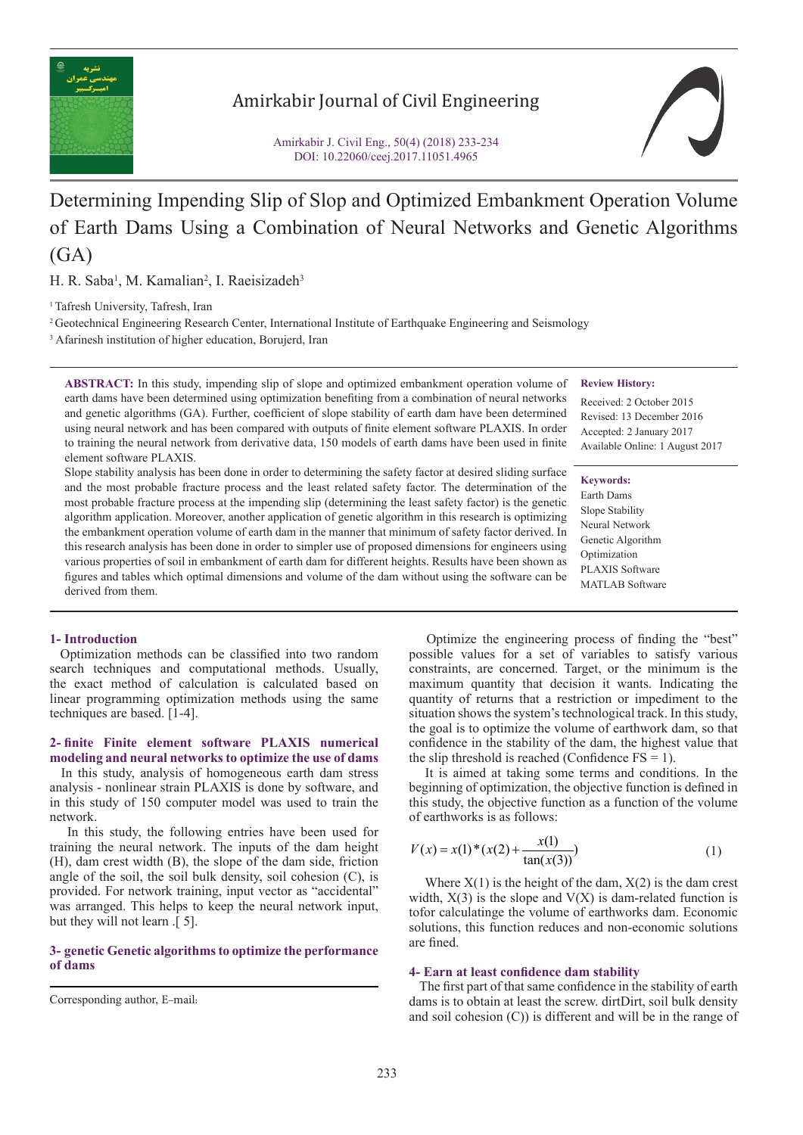

### Amirkabir Journal of Civil Engineering

Amirkabir J. Civil Eng., 50(4) (2018) 233-234 DOI: 10.22060/ceej.2017.11051.4965

# Determining Impending Slip of Slop and Optimized Embankment Operation Volume of Earth Dams Using a Combination of Neural Networks and Genetic Algorithms (GA)

H. R. Saba<sup>1</sup>, M. Kamalian<sup>2</sup>, I. Raeisizadeh<sup>3</sup>

<sup>1</sup> Tafresh University, Tafresh, Iran

2 Geotechnical Engineering Research Center, International Institute of Earthquake Engineering and Seismology

<sup>3</sup> Afarinesh institution of higher education, Borujerd, Iran

**ABSTRACT:** In this study, impending slip of slope and optimized embankment operation volume of earth dams have been determined using optimization benefiting from a combination of neural networks and genetic algorithms (GA). Further, coefficient of slope stability of earth dam have been determined using neural network and has been compared with outputs of finite element software PLAXIS. In order to training the neural network from derivative data, 150 models of earth dams have been used in finite element software PLAXIS.

Slope stability analysis has been done in order to determining the safety factor at desired sliding surface and the most probable fracture process and the least related safety factor. The determination of the most probable fracture process at the impending slip (determining the least safety factor) is the genetic algorithm application. Moreover, another application of genetic algorithm in this research is optimizing the embankment operation volume of earth dam in the manner that minimum of safety factor derived. In this research analysis has been done in order to simpler use of proposed dimensions for engineers using various properties of soil in embankment of earth dam for different heights. Results have been shown as figures and tables which optimal dimensions and volume of the dam without using the software can be derived from them.

### **1- Introduction**

 Optimization methods can be classified into two random search techniques and computational methods. Usually, the exact method of calculation is calculated based on linear programming optimization methods using the same techniques are based. [1-4].

### **2- finite Finite element software PLAXIS numerical modeling and neural networks to optimize the use of dams**

 In this study, analysis of homogeneous earth dam stress analysis - nonlinear strain PLAXIS is done by software, and in this study of 150 computer model was used to train the network.

 In this study, the following entries have been used for training the neural network. The inputs of the dam height (H), dam crest width (B), the slope of the dam side, friction angle of the soil, the soil bulk density, soil cohesion (C), is provided. For network training, input vector as "accidental" was arranged. This helps to keep the neural network input, but they will not learn .[ 5].

### **3- genetic Genetic algorithms to optimize the performance of dams**

## **Review History:**

Received: 2 October 2015 Revised: 13 December 2016 Accepted: 2 January 2017 Available Online: 1 August 2017

**Keywords:** Earth Dams Slope Stability Neural Network Genetic Algorithm Optimization PLAXIS Software MATLAB Software

 Optimize the engineering process of finding the "best" possible values for a set of variables to satisfy various constraints, are concerned. Target, or the minimum is the maximum quantity that decision it wants. Indicating the quantity of returns that a restriction or impediment to the situation shows the system's technological track. In this study, the goal is to optimize the volume of earthwork dam, so that confidence in the stability of the dam, the highest value that the slip threshold is reached (Confidence  $FS = 1$ ).

 It is aimed at taking some terms and conditions. In the beginning of optimization, the objective function is defined in this study, the objective function as a function of the volume of earthworks is as follows:

$$
V(x) = x(1) * (x(2) + \frac{x(1)}{\tan(x(3))})
$$
\n(1)

Where  $X(1)$  is the height of the dam,  $X(2)$  is the dam crest width,  $X(3)$  is the slope and  $V(X)$  is dam-related function is tofor calculatinge the volume of earthworks dam. Economic solutions, this function reduces and non-economic solutions are fined.

### **4- Earn at least confidence dam stability**

 The first part of that same confidence in the stability of earth dams is to obtain at least the screw. dirtDirt, soil bulk density and soil cohesion (C)) is different and will be in the range of

Corresponding author, E-mail: